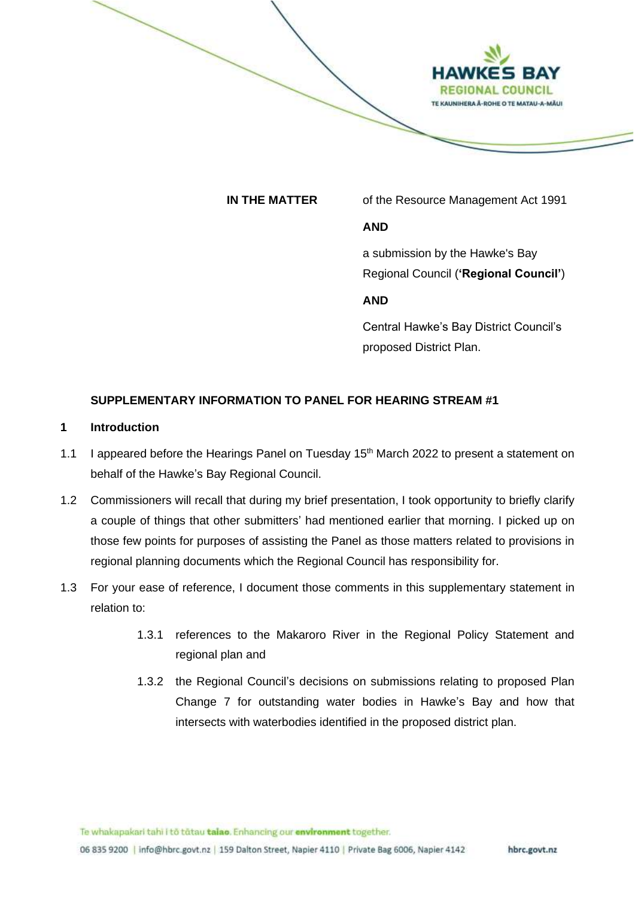

**IN THE MATTER** of the Resource Management Act 1991

### **AND**

a submission by the Hawke's Bay Regional Council (**'Regional Council'**)

# **AND**

Central Hawke's Bay District Council's proposed District Plan.

## **SUPPLEMENTARY INFORMATION TO PANEL FOR HEARING STREAM #1**

### **1 Introduction**

- 1.1 I appeared before the Hearings Panel on Tuesday 15<sup>th</sup> March 2022 to present a statement on behalf of the Hawke's Bay Regional Council.
- 1.2 Commissioners will recall that during my brief presentation, I took opportunity to briefly clarify a couple of things that other submitters' had mentioned earlier that morning. I picked up on those few points for purposes of assisting the Panel as those matters related to provisions in regional planning documents which the Regional Council has responsibility for.
- 1.3 For your ease of reference, I document those comments in this supplementary statement in relation to:
	- 1.3.1 references to the Makaroro River in the Regional Policy Statement and regional plan and
	- 1.3.2 the Regional Council's decisions on submissions relating to proposed Plan Change 7 for outstanding water bodies in Hawke's Bay and how that intersects with waterbodies identified in the proposed district plan.

Te whakapakari tahi i to tatau talao. Enhancing our environment together.

06 835 9200 | info@hbrc.govt.nz | 159 Dalton Street, Napier 4110 | Private Bag 6006, Napier 4142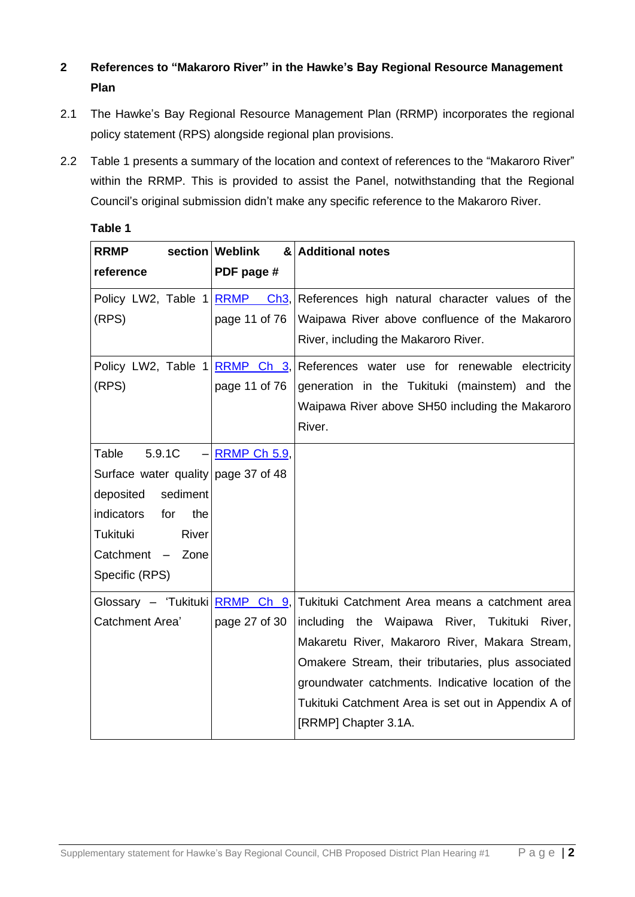# **2 References to "Makaroro River" in the Hawke's Bay Regional Resource Management Plan**

- 2.1 The Hawke's Bay Regional Resource Management Plan (RRMP) incorporates the regional policy statement (RPS) alongside regional plan provisions.
- 2.2 Table 1 presents a summary of the location and context of references to the "Makaroro River" within the RRMP. This is provided to assist the Panel, notwithstanding that the Regional Council's original submission didn't make any specific reference to the Makaroro River.

| <b>RRMP</b><br>reference                                                                                                                                               | section Weblink<br>PDF page # | & Additional notes                                                                                                                                                                                                                                                                                                                                                              |
|------------------------------------------------------------------------------------------------------------------------------------------------------------------------|-------------------------------|---------------------------------------------------------------------------------------------------------------------------------------------------------------------------------------------------------------------------------------------------------------------------------------------------------------------------------------------------------------------------------|
| Policy LW2, Table 1 RRMP<br>(RPS)                                                                                                                                      | page 11 of 76                 | Ch3, References high natural character values of the<br>Waipawa River above confluence of the Makaroro<br>River, including the Makaroro River.                                                                                                                                                                                                                                  |
| (RPS)                                                                                                                                                                  | page 11 of 76                 | Policy LW2, Table 1 RRMP Ch 3, References water use for renewable electricity<br>generation in the Tukituki (mainstem) and the<br>Waipawa River above SH50 including the Makaroro<br>River.                                                                                                                                                                                     |
| Table<br>5.9.1C<br>Surface water quality page 37 of 48<br>sediment<br>deposited<br>indicators<br>for<br>the<br>Tukituki<br>River<br>Catchment - Zone<br>Specific (RPS) | $-$ RRMP Ch 5.9               |                                                                                                                                                                                                                                                                                                                                                                                 |
| Catchment Area'                                                                                                                                                        | page 27 of 30                 | Glossary – 'Tukituki  RRMP Ch 9, Tukituki Catchment Area means a catchment area<br>including<br>the Waipawa River, Tukituki River,<br>Makaretu River, Makaroro River, Makara Stream,<br>Omakere Stream, their tributaries, plus associated<br>groundwater catchments. Indicative location of the<br>Tukituki Catchment Area is set out in Appendix A of<br>[RRMP] Chapter 3.1A. |

# **Table 1**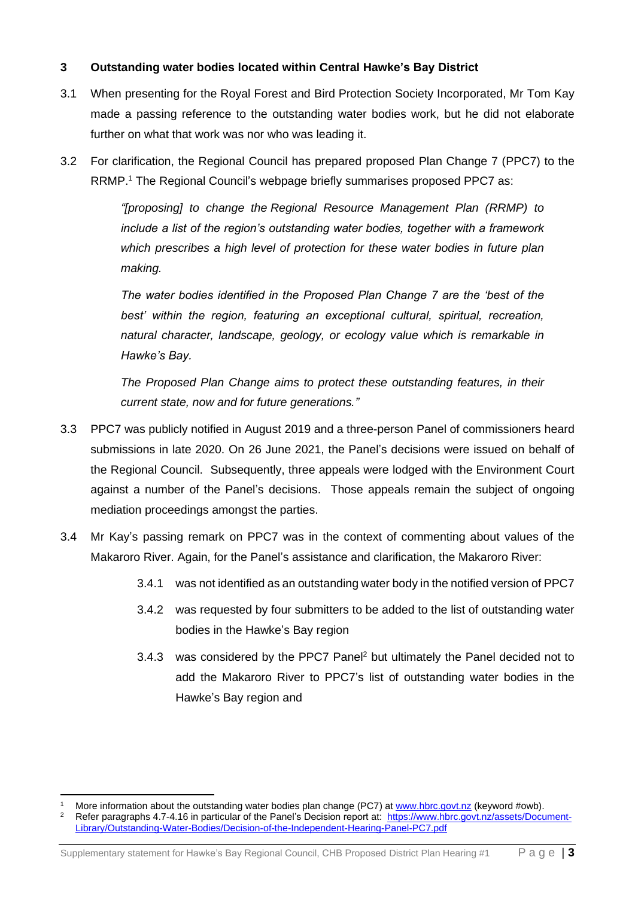# **3 Outstanding water bodies located within Central Hawke's Bay District**

- 3.1 When presenting for the Royal Forest and Bird Protection Society Incorporated, Mr Tom Kay made a passing reference to the outstanding water bodies work, but he did not elaborate further on what that work was nor who was leading it.
- 3.2 For clarification, the Regional Council has prepared proposed Plan Change 7 (PPC7) to the RRMP.<sup>1</sup> The Regional Council's webpage briefly summarises proposed PPC7 as:

*"[proposing] to change the Regional Resource Management Plan (RRMP) to include a list of the region's outstanding water bodies, together with a framework which prescribes a high level of protection for these water bodies in future plan making.* 

*The water bodies identified in the Proposed Plan Change 7 are the 'best of the best' within the region, featuring an exceptional cultural, spiritual, recreation, natural character, landscape, geology, or ecology value which is remarkable in Hawke's Bay.*

*The Proposed Plan Change aims to protect these outstanding features, in their current state, now and for future generations."*

- 3.3 PPC7 was publicly notified in August 2019 and a three-person Panel of commissioners heard submissions in late 2020. On 26 June 2021, the Panel's decisions were issued on behalf of the Regional Council. Subsequently, three appeals were lodged with the Environment Court against a number of the Panel's decisions. Those appeals remain the subject of ongoing mediation proceedings amongst the parties.
- 3.4 Mr Kay's passing remark on PPC7 was in the context of commenting about values of the Makaroro River. Again, for the Panel's assistance and clarification, the Makaroro River:
	- 3.4.1 was not identified as an outstanding water body in the notified version of PPC7
	- 3.4.2 was requested by four submitters to be added to the list of outstanding water bodies in the Hawke's Bay region
	- 3.4.3 was considered by the PPC7 Panel<sup>2</sup> but ultimately the Panel decided not to add the Makaroro River to PPC7's list of outstanding water bodies in the Hawke's Bay region and

<sup>&</sup>lt;sup>1</sup> More information about the outstanding water bodies plan change (PC7) at <u>www.hbrc.govt.nz</u> (keyword #owb). Refer paragraphs 4.7-4.16 in particular of the Panel's Decision report at: [https://www.hbrc.govt.nz/assets/Document-](https://www.hbrc.govt.nz/assets/Document-Library/Outstanding-Water-Bodies/Decision-of-the-Independent-Hearing-Panel-PC7.pdf)[Library/Outstanding-Water-Bodies/Decision-of-the-Independent-Hearing-Panel-PC7.pdf](https://www.hbrc.govt.nz/assets/Document-Library/Outstanding-Water-Bodies/Decision-of-the-Independent-Hearing-Panel-PC7.pdf)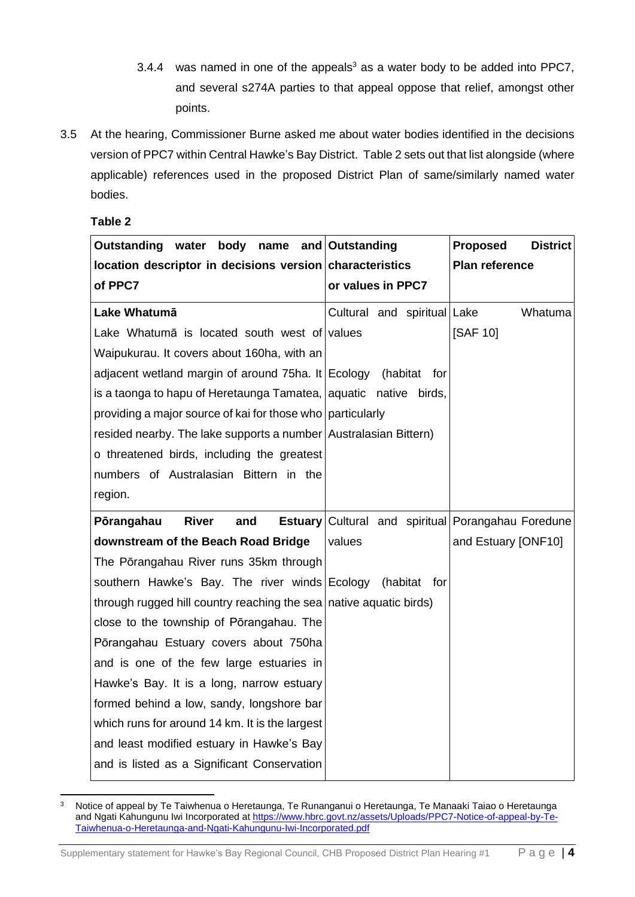- 3.4.4 was named in one of the appeals<sup>3</sup> as a water body to be added into PPC7, and several s274A parties to that appeal oppose that relief, amongst other points.
- 3.5 At the hearing, Commissioner Burne asked me about water bodies identified in the decisions version of PPC7 within Central Hawke's Bay District. Table 2 sets out that list alongside (where applicable) references used in the proposed District Plan of same/similarly named water bodies.

**Table 2**

| Outstanding water body name                                        | and Outstanding             | Proposed<br><b>District</b>                               |
|--------------------------------------------------------------------|-----------------------------|-----------------------------------------------------------|
| location descriptor in decisions version characteristics           |                             | <b>Plan reference</b>                                     |
| of PPC7                                                            | or values in PPC7           |                                                           |
| Lake Whatumā                                                       | Cultural and spiritual Lake | Whatuma                                                   |
| Lake Whatuma is located south west of values                       |                             | [SAF 10]                                                  |
| Waipukurau. It covers about 160ha, with an                         |                             |                                                           |
| adjacent wetland margin of around 75ha. It Ecology (habitat        | tor                         |                                                           |
| is a taonga to hapu of Heretaunga Tamatea, aquatic native birds,   |                             |                                                           |
| providing a major source of kai for those who particularly         |                             |                                                           |
| resided nearby. The lake supports a number Australasian Bittern)   |                             |                                                           |
| o threatened birds, including the greatest                         |                             |                                                           |
| numbers of Australasian Bittern in the                             |                             |                                                           |
| region.                                                            |                             |                                                           |
| Pōrangahau<br><b>River</b><br>and                                  |                             | <b>Estuary</b> Cultural and spiritual Porangahau Foredune |
| downstream of the Beach Road Bridge                                | values                      | and Estuary [ONF10]                                       |
| The Pōrangahau River runs 35km through                             |                             |                                                           |
| southern Hawke's Bay. The river winds Ecology (habitat             | for                         |                                                           |
| through rugged hill country reaching the sea native aquatic birds) |                             |                                                           |
| close to the township of Pōrangahau. The                           |                             |                                                           |
| Pōrangahau Estuary covers about 750ha                              |                             |                                                           |
| and is one of the few large estuaries in                           |                             |                                                           |
| Hawke's Bay. It is a long, narrow estuary                          |                             |                                                           |
| formed behind a low, sandy, longshore bar                          |                             |                                                           |
| which runs for around 14 km. It is the largest                     |                             |                                                           |
| and least modified estuary in Hawke's Bay                          |                             |                                                           |
| and is listed as a Significant Conservation                        |                             |                                                           |

<sup>&</sup>lt;sup>3</sup> Notice of appeal by Te Taiwhenua o Heretaunga, Te Runanganui o Heretaunga, Te Manaaki Taiao o Heretaunga and Ngati Kahungunu Iwi Incorporated at [https://www.hbrc.govt.nz/assets/Uploads/PPC7-Notice-of-appeal-by-Te-](https://www.hbrc.govt.nz/assets/Uploads/PPC7-Notice-of-appeal-by-Te-Taiwhenua-o-Heretaunga-and-Ngati-Kahungunu-Iwi-Incorporated.pdf)[Taiwhenua-o-Heretaunga-and-Ngati-Kahungunu-Iwi-Incorporated.pdf](https://www.hbrc.govt.nz/assets/Uploads/PPC7-Notice-of-appeal-by-Te-Taiwhenua-o-Heretaunga-and-Ngati-Kahungunu-Iwi-Incorporated.pdf)